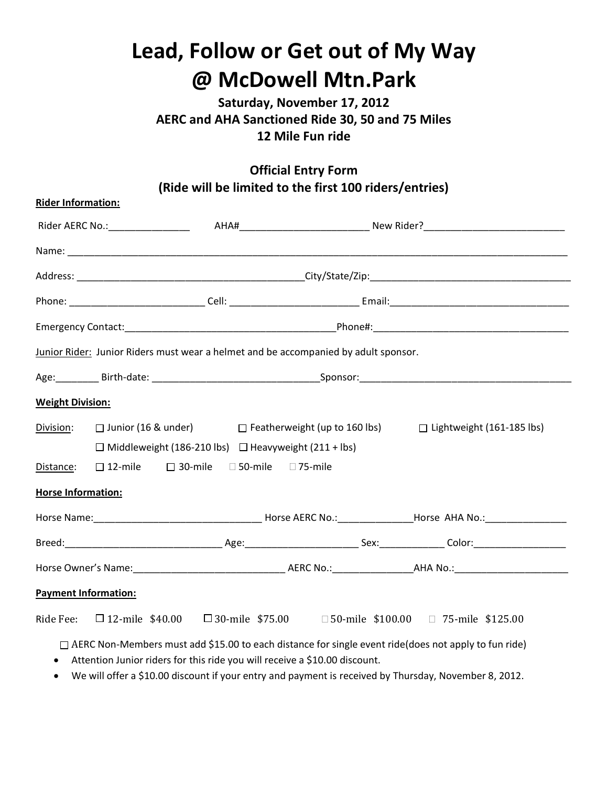## **Lead, Follow or Get out of My Way @ McDowell Mtn.Park**

**Saturday, November 17, 2012 AERC and AHA Sanctioned Ride 30, 50 and 75 Miles 12 Mile Fun ride** 

## **Official Entry Form (Ride will be limited to the first 100 riders/entries)**

| <b>Rider Information:</b>   |                                                                                                                                                                                                                      |                                                                                     |  |                                                                                                         |  |
|-----------------------------|----------------------------------------------------------------------------------------------------------------------------------------------------------------------------------------------------------------------|-------------------------------------------------------------------------------------|--|---------------------------------------------------------------------------------------------------------|--|
|                             |                                                                                                                                                                                                                      |                                                                                     |  |                                                                                                         |  |
|                             |                                                                                                                                                                                                                      |                                                                                     |  |                                                                                                         |  |
|                             |                                                                                                                                                                                                                      |                                                                                     |  |                                                                                                         |  |
|                             |                                                                                                                                                                                                                      |                                                                                     |  |                                                                                                         |  |
|                             |                                                                                                                                                                                                                      |                                                                                     |  |                                                                                                         |  |
|                             |                                                                                                                                                                                                                      | Junior Rider: Junior Riders must wear a helmet and be accompanied by adult sponsor. |  |                                                                                                         |  |
|                             |                                                                                                                                                                                                                      |                                                                                     |  |                                                                                                         |  |
| <b>Weight Division:</b>     |                                                                                                                                                                                                                      |                                                                                     |  |                                                                                                         |  |
| Division:                   | □ Junior (16 & under) □ Featherweight (up to 160 lbs) □ Lightweight (161-185 lbs)<br>$\Box$ Middleweight (186-210 lbs) $\Box$ Heavyweight (211 + lbs)<br>$\Box$ 12-mile $\Box$ 30-mile $\Box$ 50-mile $\Box$ 75-mile |                                                                                     |  |                                                                                                         |  |
| Distance:                   |                                                                                                                                                                                                                      |                                                                                     |  |                                                                                                         |  |
| <b>Horse Information:</b>   |                                                                                                                                                                                                                      |                                                                                     |  |                                                                                                         |  |
|                             |                                                                                                                                                                                                                      |                                                                                     |  |                                                                                                         |  |
|                             |                                                                                                                                                                                                                      |                                                                                     |  |                                                                                                         |  |
|                             |                                                                                                                                                                                                                      |                                                                                     |  |                                                                                                         |  |
| <b>Payment Information:</b> |                                                                                                                                                                                                                      |                                                                                     |  |                                                                                                         |  |
|                             |                                                                                                                                                                                                                      |                                                                                     |  | Ride Fee: $\Box$ 12-mile \$40.00 $\Box$ 30-mile \$75.00 $\Box$ 50-mile \$100.00 $\Box$ 75-mile \$125.00 |  |

□ AERC Non-Members must add \$15.00 to each distance for single event ride(does not apply to fun ride)

Attention Junior riders for this ride you will receive a \$10.00 discount.

We will offer a \$10.00 discount if your entry and payment is received by Thursday, November 8, 2012.